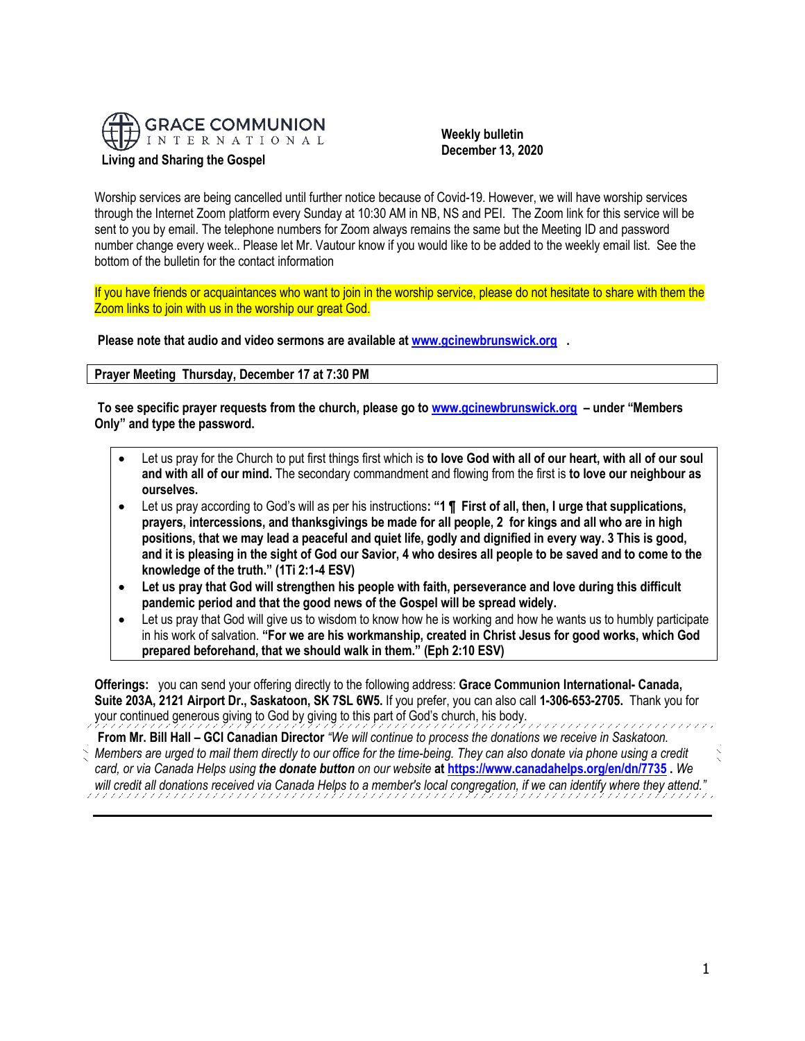

 **Weekly bulletin December 13, 2020**

Worship services are being cancelled until further notice because of Covid-19. However, we will have worship services through the Internet Zoom platform every Sunday at 10:30 AM in NB, NS and PEI. The Zoom link for this service will be sent to you by email. The telephone numbers for Zoom always remains the same but the Meeting ID and password number change every week.. Please let Mr. Vautour know if you would like to be added to the weekly email list. See the bottom of the bulletin for the contact information

If you have friends or acquaintances who want to join in the worship service, please do not hesitate to share with them the Zoom links to join with us in the worship our great God.

**Please note that audio and video sermons are available at [www.gcinewbrunswick.org](http://www.gcinewbrunswick.org/) .** 

**Prayer Meeting Thursday, December 17 at 7:30 PM** 

**To see specific prayer requests from the church, please go t[o www.gcinewbrunswick.org](http://www.gcinewbrunswick.org/) – under "Members Only" and type the password.**

- Let us pray for the Church to put first things first which is **to love God with all of our heart, with all of our soul and with all of our mind.** The secondary commandment and flowing from the first is **to love our neighbour as ourselves.**
- Let us pray according to God's will as per his instructions**: "1 ¶ First of all, then, I urge that supplications, prayers, intercessions, and thanksgivings be made for all people, 2 for kings and all who are in high positions, that we may lead a peaceful and quiet life, godly and dignified in every way. 3 This is good, and it is pleasing in the sight of God our Savior, 4 who desires all people to be saved and to come to the knowledge of the truth." (1Ti 2:1-4 ESV)**
- **Let us pray that God will strengthen his people with faith, perseverance and love during this difficult pandemic period and that the good news of the Gospel will be spread widely.**
- Let us pray that God will give us to wisdom to know how he is working and how he wants us to humbly participate in his work of salvation. **"For we are his workmanship, created in Christ Jesus for good works, which God prepared beforehand, that we should walk in them." (Eph 2:10 ESV)**

**Offerings:** you can send your offering directly to the following address: **Grace Communion International- Canada, Suite 203A, 2121 Airport Dr., Saskatoon, SK 7SL 6W5.** If you prefer, you can also call **1-306-653-2705.** Thank you for your continued generous giving to God by giving to this part of God's church, his body.

**From Mr. Bill Hall – GCI Canadian Director** *"We will continue to process the donations we receive in Saskatoon. Members are urged to mail them directly to our office for the time-being. They can also donate via phone using a credit card, or via Canada Helps using the donate button on our website* **a[t https://www.canadahelps.org/en/dn/7735](https://www.canadahelps.org/en/dn/7735) .** *We will credit all donations received via Canada Helps to a member's local congregation, if we can identify where they attend."*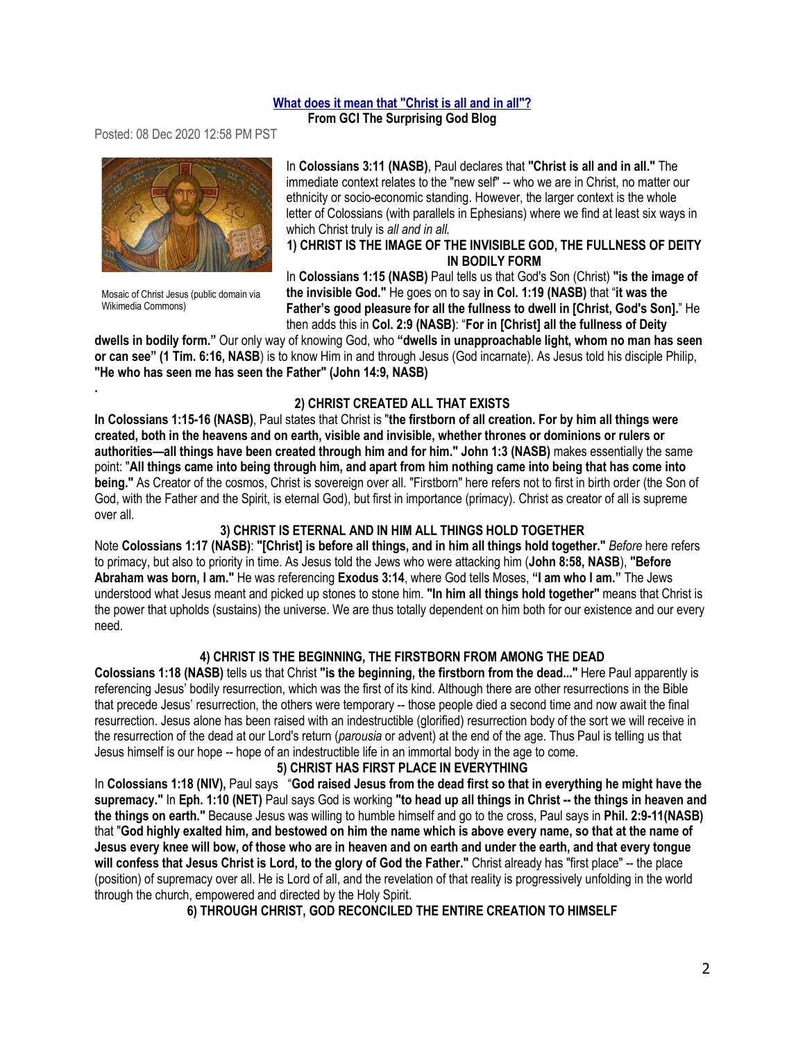## **[What does it mean that "Christ is all and in all"?](https://eur05.safelinks.protection.outlook.com/?url=http:%2F%2Ffeedproxy.google.com%2F~r%2Fgci%2FzGUy%2F~3%2Foy2FCErvzkY%2Fwhat-does-it-mean-that-christ-is-all.html%3Futm_source%3Dfeedburner%26utm_medium%3Demail&data=04%7C01%7C%7Caccf7dc3e6804589fe4f08d89c1fab2b%7C84df9e7fe9f640afb435aaaaaaaaaaaa%7C1%7C0%7C637431007108476485%7CUnknown%7CTWFpbGZsb3d8eyJWIjoiMC4wLjAwMDAiLCJQIjoiV2luMzIiLCJBTiI6Ik1haWwiLCJXVCI6Mn0%3D%7C1000&sdata=9b3LSFBJBFiwguKlEFeW5lT4GDi0mn4ZqBc8OOZZ6Y8%3D&reserved=0)**

**From GCI The Surprising God Blog** 

Posted: 08 Dec 2020 12:58 PM PST



Mosaic of Christ Jesus (public domain via Wikimedia Commons)

**.**

In **Colossians 3:11 (NASB)**, Paul declares that **"Christ is all and in all."** The immediate context relates to the "new self" -- who we are in Christ, no matter our ethnicity or socio-economic standing. However, the larger context is the whole letter of Colossians (with parallels in Ephesians) where we find at least six ways in which Christ truly is *all and in all.*

## **1) CHRIST IS THE IMAGE OF THE INVISIBLE GOD, THE FULLNESS OF DEITY IN BODILY FORM**

In **Colossians 1:15 (NASB)** Paul tells us that God's Son (Christ) **"is the image of the invisible God."** He goes on to say **in Col. 1:19 (NASB)** that "**it was the Father's good pleasure for all the fullness to dwell in [Christ, God's Son].**" He then adds this in **Col. 2:9 (NASB)**: "**For in [Christ] all the fullness of Deity** 

**dwells in bodily form."** Our only way of knowing God, who **"dwells in unapproachable light, whom no man has seen or can see" (1 Tim. 6:16, NASB**) is to know Him in and through Jesus (God incarnate). As Jesus told his disciple Philip, **"He who has seen me has seen the Father" (John 14:9, NASB)**

## **2) CHRIST CREATED ALL THAT EXISTS**

**In Colossians 1:15-16 (NASB)**, Paul states that Christ is "**the firstborn of all creation. For by him all things were created, both in the heavens and on earth, visible and invisible, whether thrones or dominions or rulers or authorities—all things have been created through him and for him." John 1:3 (NASB)** makes essentially the same point: "**All things came into being through him, and apart from him nothing came into being that has come into being."** As Creator of the cosmos, Christ is sovereign over all. "Firstborn" here refers not to first in birth order (the Son of God, with the Father and the Spirit, is eternal God), but first in importance (primacy). Christ as creator of all is supreme over all.

# **3) CHRIST IS ETERNAL AND IN HIM ALL THINGS HOLD TOGETHER**

Note **Colossians 1:17 (NASB)**: **"[Christ] is before all things, and in him all things hold together."** *Before* here refers to primacy, but also to priority in time. As Jesus told the Jews who were attacking him (**John 8:58, NASB**), **"Before Abraham was born, I am."** He was referencing **Exodus 3:14**, where God tells Moses, **"I am who I am."** The Jews understood what Jesus meant and picked up stones to stone him. **"In him all things hold together"** means that Christ is the power that upholds (sustains) the universe. We are thus totally dependent on him both for our existence and our every need.

# **4) CHRIST IS THE BEGINNING, THE FIRSTBORN FROM AMONG THE DEAD**

**Colossians 1:18 (NASB)** tells us that Christ **"is the beginning, the firstborn from the dead..."** Here Paul apparently is referencing Jesus' bodily resurrection, which was the first of its kind. Although there are other resurrections in the Bible that precede Jesus' resurrection, the others were temporary -- those people died a second time and now await the final resurrection. Jesus alone has been raised with an indestructible (glorified) resurrection body of the sort we will receive in the resurrection of the dead at our Lord's return (*parousia* or advent) at the end of the age. Thus Paul is telling us that Jesus himself is our hope -- hope of an indestructible life in an immortal body in the age to come.

## **5) CHRIST HAS FIRST PLACE IN EVERYTHING**

In **Colossians 1:18 (NIV),** Paul says "**God raised Jesus from the dead first so that in everything he might have the supremacy."** In **Eph. 1:10 (NET)** Paul says God is working **"to head up all things in Christ -- the things in heaven and the things on earth."** Because Jesus was willing to humble himself and go to the cross, Paul says in **Phil. 2:9-11(NASB)** that "**God highly exalted him, and bestowed on him the name which is above every name, so that at the name of Jesus every knee will bow, of those who are in heaven and on earth and under the earth, and that every tongue will confess that Jesus Christ is Lord, to the glory of God the Father."** Christ already has "first place" -- the place (position) of supremacy over all. He is Lord of all, and the revelation of that reality is progressively unfolding in the world through the church, empowered and directed by the Holy Spirit.

**6) THROUGH CHRIST, GOD RECONCILED THE ENTIRE CREATION TO HIMSELF**